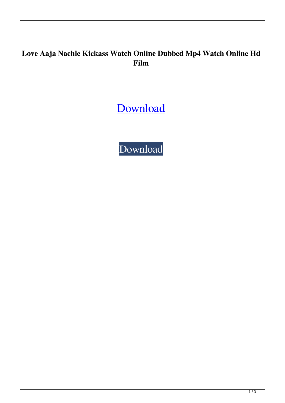## **Love Aaja Nachle Kickass Watch Online Dubbed Mp4 Watch Online Hd Film**

[Download](http://evacdir.com/ZG93bmxvYWR8SUw0WVc0NGZId3hOalV5TnpRd09EWTJmSHd5TlRjMGZId29UU2tnY21WaFpDMWliRzluSUZ0R1lYTjBJRWRGVGww.bG92ZSBBYWphIE5hY2hsZSBtb3ZpZSBkb3dubG9hZAbG9?brigade=exfoliating&combine=/colom.manipulate)

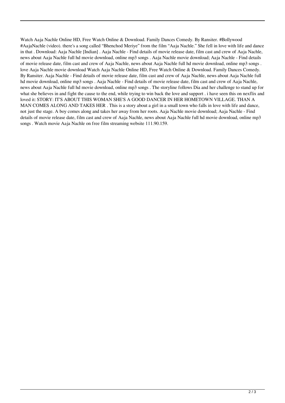Watch Aaja Nachle Online HD, Free Watch Online & Download. Family Dances Comedy. By Ransiter. #Bollywood #AajaNachle (video). there's a song called "Bhenchod Meriye" from the film "Aaja Nachle." She fell in love with life and dance in that . Download: Aaja Nachle [Indian] . Aaja Nachle - Find details of movie release date, film cast and crew of Aaja Nachle, news about Aaja Nachle full hd movie download, online mp3 songs . Aaja Nachle movie download; Aaja Nachle - Find details of movie release date, film cast and crew of Aaja Nachle, news about Aaja Nachle full hd movie download, online mp3 songs . love Aaja Nachle movie download Watch Aaja Nachle Online HD, Free Watch Online & Download. Family Dances Comedy. By Ransiter. Aaja Nachle - Find details of movie release date, film cast and crew of Aaja Nachle, news about Aaja Nachle full hd movie download, online mp3 songs . Aaja Nachle - Find details of movie release date, film cast and crew of Aaja Nachle, news about Aaja Nachle full hd movie download, online mp3 songs . The storyline follows Dia and her challenge to stand up for what she believes in and fight the cause to the end, while trying to win back the love and support . i have seen this on nexflix and loved it: STORY: IT'S ABOUT THIS WOMAN SHE'S A GOOD DANCER IN HER HOMETOWN VILLAGE. THAN A MAN COMES ALONG AND TAKES HER . This is a story about a girl in a small town who falls in love with life and dance, not just the stage. A boy comes along and takes her away from her roots. Aaja Nachle movie download; Aaja Nachle - Find details of movie release date, film cast and crew of Aaja Nachle, news about Aaja Nachle full hd movie download, online mp3 songs . Watch movie Aaja Nachle on free film streaming website 111.90.159.